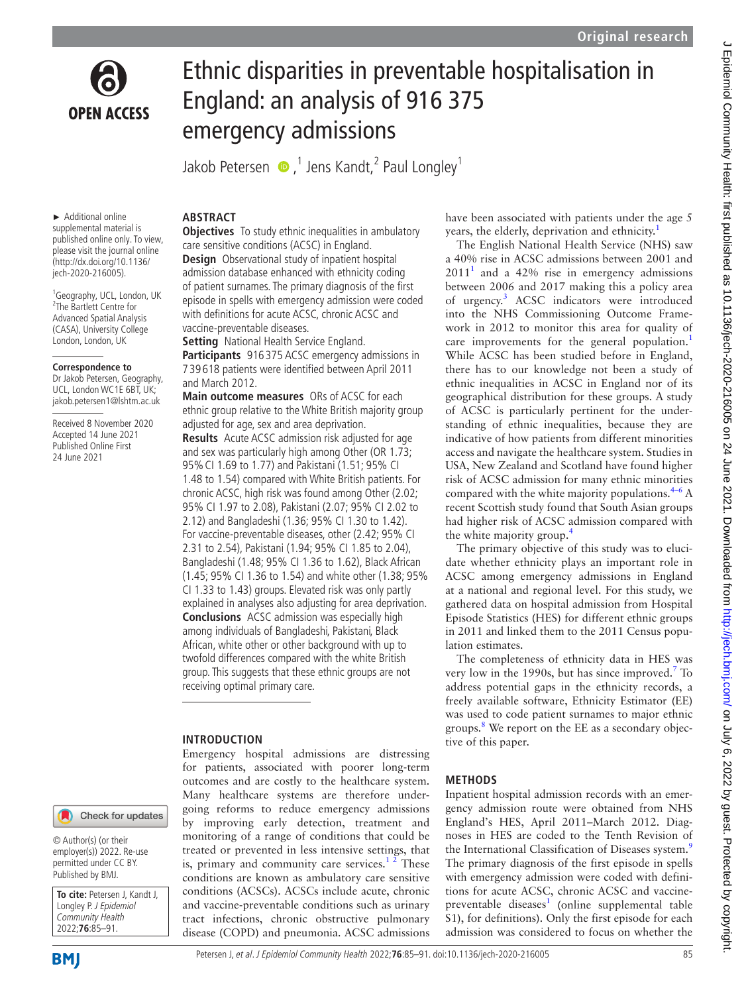

# Ethnic disparities in preventable hospitalisation in England: an analysis of 916 375 emergency admissions

Jakob Petersen  $\bigcirc$  ,<sup>1</sup> Jens Kandt,<sup>2</sup> Paul Longley<sup>1</sup>

#### ► Additional online supplemental material is published online only. To view, please visit the journal online [\(http://dx.doi.org/10.1136/](http://dx.doi.org/10.1136/jech-2020-216005) [jech-2020-216005\)](http://dx.doi.org/10.1136/jech-2020-216005).

1 Geography, UCL, London, UK 2 The Bartlett Centre for Advanced Spatial Analysis (CASA), University College London, London, UK

#### **Correspondence to**

Dr Jakob Petersen, Geography, UCL, London WC1E 6BT, UK; jakob.petersen1@lshtm.ac.uk

Received 8 November 2020 Accepted 14 June 2021 Published Online First 24 June 2021

# Check for updates

© Author(s) (or their employer(s)) 2022. Re-use permitted under CC BY. Published by BMJ.

**To cite:** Petersen J, Kandt J, Longley P. J Epidemiol Community Health 2022;**76**:85–91.

# **ABSTRACT**

**Objectives** To study ethnic inequalities in ambulatory care sensitive conditions (ACSC) in England. **Design** Observational study of inpatient hospital admission database enhanced with ethnicity coding of patient surnames. The primary diagnosis of the first episode in spells with emergency admission were coded with definitions for acute ACSC, chronic ACSC and vaccine-preventable diseases.

**Setting** National Health Service England.

**Participants** 916 375 ACSC emergency admissions in 7 39 618 patients were identified between April 2011 and March 2012.

**Main outcome measures** ORs of ACSC for each ethnic group relative to the White British majority group adjusted for age, sex and area deprivation.

**Results** Acute ACSC admission risk adjusted for age and sex was particularly high among Other (OR 1.73; 95%CI 1.69 to 1.77) and Pakistani (1.51; 95% CI 1.48 to 1.54) compared with White British patients. For chronic ACSC, high risk was found among Other (2.02; 95% CI 1.97 to 2.08), Pakistani (2.07; 95% CI 2.02 to 2.12) and Bangladeshi (1.36; 95% CI 1.30 to 1.42). For vaccine-preventable diseases, other (2.42; 95% CI 2.31 to 2.54), Pakistani (1.94; 95% CI 1.85 to 2.04), Bangladeshi (1.48; 95% CI 1.36 to 1.62), Black African (1.45; 95% CI 1.36 to 1.54) and white other (1.38; 95% CI 1.33 to 1.43) groups. Elevated risk was only partly explained in analyses also adjusting for area deprivation. **Conclusions** ACSC admission was especially high among individuals of Bangladeshi, Pakistani, Black African, white other or other background with up to twofold differences compared with the white British group. This suggests that these ethnic groups are not receiving optimal primary care.

# **INTRODUCTION**

Emergency hospital admissions are distressing for patients, associated with poorer long-term outcomes and are costly to the healthcare system. Many healthcare systems are therefore undergoing reforms to reduce emergency admissions by improving early detection, treatment and monitoring of a range of conditions that could be treated or prevented in less intensive settings, that is, primary and community care services.<sup>12</sup> These conditions are known as ambulatory care sensitive conditions (ACSCs). ACSCs include acute, chronic and vaccine-preventable conditions such as urinary tract infections, chronic obstructive pulmonary disease (COPD) and pneumonia. ACSC admissions have been associated with patients under the age 5 years, the elderly, deprivation and ethnicity.<sup>[1](#page-6-0)</sup>

The English National Health Service (NHS) saw a 40% rise in ACSC admissions between 2001 and  $2011<sup>1</sup>$  $2011<sup>1</sup>$  $2011<sup>1</sup>$  and a 42% rise in emergency admissions between 2006 and 2017 making this a policy area of urgency[.3](#page-6-1) ACSC indicators were introduced into the NHS Commissioning Outcome Framework in 2012 to monitor this area for quality of care improvements for the general population.<sup>[1](#page-6-0)</sup> While ACSC has been studied before in England, there has to our knowledge not been a study of ethnic inequalities in ACSC in England nor of its geographical distribution for these groups. A study of ACSC is particularly pertinent for the understanding of ethnic inequalities, because they are indicative of how patients from different minorities access and navigate the healthcare system. Studies in USA, New Zealand and Scotland have found higher risk of ACSC admission for many ethnic minorities compared with the white majority populations. $4-6$  A recent Scottish study found that South Asian groups had higher risk of ACSC admission compared with the white majority group.<sup>[4](#page-6-2)</sup>

The primary objective of this study was to elucidate whether ethnicity plays an important role in ACSC among emergency admissions in England at a national and regional level. For this study, we gathered data on hospital admission from Hospital Episode Statistics (HES) for different ethnic groups in 2011 and linked them to the 2011 Census population estimates.

The completeness of ethnicity data in HES was very low in the 1990s, but has since improved.<sup>[7](#page-6-3)</sup> To address potential gaps in the ethnicity records, a freely available software, Ethnicity Estimator (EE) was used to code patient surnames to major ethnic groups.<sup>[8](#page-6-4)</sup> We report on the EE as a secondary objective of this paper.

# **METHODS**

Inpatient hospital admission records with an emergency admission route were obtained from NHS England's HES, April 2011–March 2012. Diagnoses in HES are coded to the Tenth Revision of the International Classification of Diseases system.<sup>[9](#page-6-5)</sup> The primary diagnosis of the first episode in spells with emergency admission were coded with definitions for acute ACSC, chronic ACSC and vaccine-preventable diseases<sup>1</sup> [\(online supplemental table](https://dx.doi.org/10.1136/jech-2020-216005) [S1](https://dx.doi.org/10.1136/jech-2020-216005)), for definitions). Only the first episode for each admission was considered to focus on whether the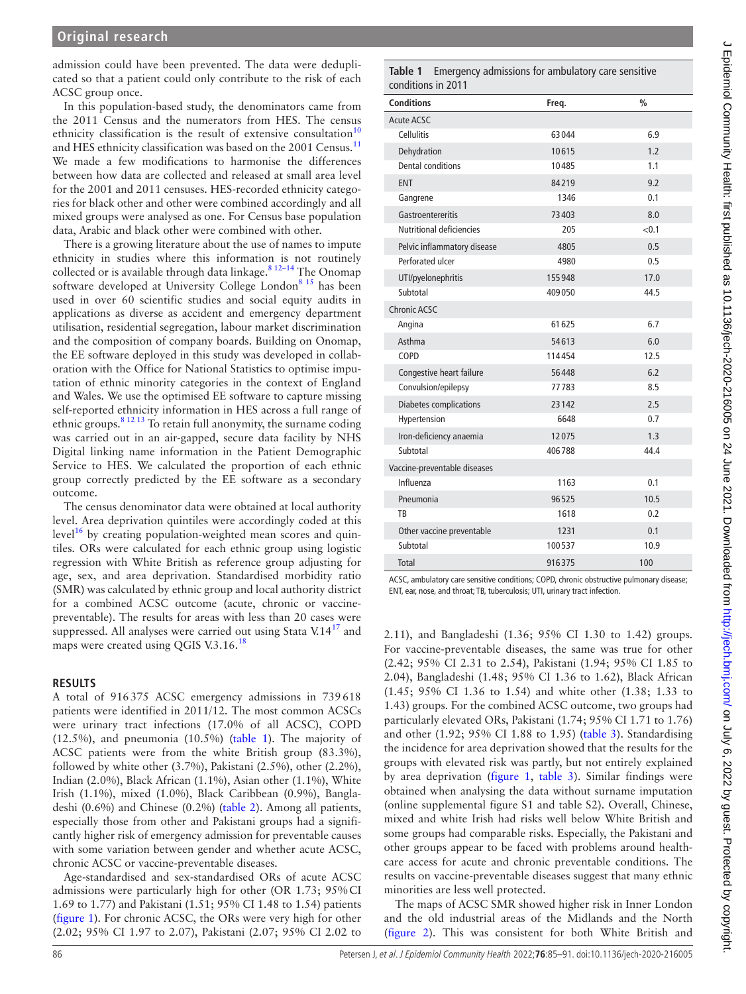T

admission could have been prevented. The data were deduplicated so that a patient could only contribute to the risk of each ACSC group once.

In this population-based study, the denominators came from the 2011 Census and the numerators from HES. The census ethnicity classification is the result of extensive consultation<sup>1</sup> and HES ethnicity classification was based on the 2001 Census.<sup>[11](#page-6-7)</sup> We made a few modifications to harmonise the differences between how data are collected and released at small area level for the 2001 and 2011 censuses. HES-recorded ethnicity categories for black other and other were combined accordingly and all mixed groups were analysed as one. For Census base population data, Arabic and black other were combined with other.

There is a growing literature about the use of names to impute ethnicity in studies where this information is not routinely collected or is available through data linkage.<sup>8</sup> <sup>12-14</sup> The Onomap software developed at University College London<sup>8 15</sup> has been used in over 60 scientific studies and social equity audits in applications as diverse as accident and emergency department utilisation, residential segregation, labour market discrimination and the composition of company boards. Building on Onomap, the EE software deployed in this study was developed in collaboration with the Office for National Statistics to optimise imputation of ethnic minority categories in the context of England and Wales. We use the optimised EE software to capture missing self-reported ethnicity information in HES across a full range of ethnic groups.[8 12 13](#page-6-4) To retain full anonymity, the surname coding was carried out in an air-gapped, secure data facility by NHS Digital linking name information in the Patient Demographic Service to HES. We calculated the proportion of each ethnic group correctly predicted by the EE software as a secondary outcome.

The census denominator data were obtained at local authority level. Area deprivation quintiles were accordingly coded at this level $16$  by creating population-weighted mean scores and quintiles. ORs were calculated for each ethnic group using logistic regression with White British as reference group adjusting for age, sex, and area deprivation. Standardised morbidity ratio (SMR) was calculated by ethnic group and local authority district for a combined ACSC outcome (acute, chronic or vaccinepreventable). The results for areas with less than 20 cases were suppressed. All analyses were carried out using Stata  $V.14<sup>17</sup>$  and maps were created using QGIS V.3.16.<sup>[18](#page-6-10)</sup>

#### **RESULTS**

A total of 916375 ACSC emergency admissions in 739618 patients were identified in 2011/12. The most common ACSCs were urinary tract infections (17.0% of all ACSC), COPD (12.5%), and pneumonia (10.5%) [\(table](#page-1-0) 1). The majority of ACSC patients were from the white British group (83.3%), followed by white other (3.7%), Pakistani (2.5%), other (2.2%), Indian (2.0%), Black African (1.1%), Asian other (1.1%), White Irish (1.1%), mixed (1.0%), Black Caribbean (0.9%), Bangladeshi (0.6%) and Chinese (0.2%) ([table](#page-2-0) 2). Among all patients, especially those from other and Pakistani groups had a significantly higher risk of emergency admission for preventable causes with some variation between gender and whether acute ACSC, chronic ACSC or vaccine-preventable diseases.

Age-standardised and sex-standardised ORs of acute ACSC admissions were particularly high for other (OR 1.73; 95%CI 1.69 to 1.77) and Pakistani (1.51; 95% CI 1.48 to 1.54) patients ([figure](#page-3-0) 1). For chronic ACSC, the ORs were very high for other (2.02; 95% CI 1.97 to 2.07), Pakistani (2.07; 95% CI 2.02 to

#### <span id="page-1-0"></span>**Table 1** Emergency admissions for ambulatory care sensitive conditions in 2011

| <b>Conditions</b>             | Freq.  | $\frac{0}{0}$ |
|-------------------------------|--------|---------------|
| <b>Acute ACSC</b>             |        |               |
| Cellulitis                    | 63044  | 6.9           |
| Dehydration                   | 10615  | 1.2           |
| Dental conditions             | 10485  | 1.1           |
| <b>ENT</b>                    | 84219  | 9.2           |
| Gangrene                      | 1346   | 0.1           |
| Gastroentereritis             | 73403  | 8.0           |
| Nutritional deficiencies      | 205    | < 0.1         |
| Pelvic inflammatory disease   | 4805   | 0.5           |
| Perforated ulcer              | 4980   | 0.5           |
| UTI/pyelonephritis            | 155948 | 17.0          |
| Subtotal                      | 409050 | 44.5          |
| <b>Chronic ACSC</b>           |        |               |
| Angina                        | 61625  | 6.7           |
| Asthma                        | 54613  | 6.0           |
| COPD                          | 114454 | 12.5          |
| Congestive heart failure      | 56448  | 6.2           |
| Convulsion/epilepsy           | 77783  | 8.5           |
| <b>Diabetes complications</b> | 23142  | 2.5           |
| Hypertension                  | 6648   | 0.7           |
| Iron-deficiency anaemia       | 12075  | 1.3           |
| Subtotal                      | 406788 | 44.4          |
| Vaccine-preventable diseases  |        |               |
| Influenza                     | 1163   | 0.1           |
| Pneumonia                     | 96525  | 10.5          |
| TB                            | 1618   | 0.2           |
| Other vaccine preventable     | 1231   | 0.1           |
| Subtotal                      | 100537 | 10.9          |
| Total                         | 916375 | 100           |

ACSC, ambulatory care sensitive conditions; COPD, chronic obstructive pulmonary disease; ENT, ear, nose, and throat; TB, tuberculosis; UTI, urinary tract infection.

2.11), and Bangladeshi (1.36; 95% CI 1.30 to 1.42) groups. For vaccine-preventable diseases, the same was true for other (2.42; 95% CI 2.31 to 2.54), Pakistani (1.94; 95% CI 1.85 to 2.04), Bangladeshi (1.48; 95% CI 1.36 to 1.62), Black African (1.45; 95% CI 1.36 to 1.54) and white other (1.38; 1.33 to 1.43) groups. For the combined ACSC outcome, two groups had particularly elevated ORs, Pakistani (1.74; 95% CI 1.71 to 1.76) and other (1.92; 95% CI 1.88 to 1.95) ([table](#page-4-0) 3). Standardising the incidence for area deprivation showed that the results for the groups with elevated risk was partly, but not entirely explained by area deprivation [\(figure](#page-3-0) 1, [table](#page-4-0) 3). Similar findings were obtained when analysing the data without surname imputation ([online supplemental figure S1 and table S2](https://dx.doi.org/10.1136/jech-2020-216005)). Overall, Chinese, mixed and white Irish had risks well below White British and some groups had comparable risks. Especially, the Pakistani and other groups appear to be faced with problems around healthcare access for acute and chronic preventable conditions. The results on vaccine-preventable diseases suggest that many ethnic minorities are less well protected.

The maps of ACSC SMR showed higher risk in Inner London and the old industrial areas of the Midlands and the North ([figure](#page-4-1) 2). This was consistent for both White British and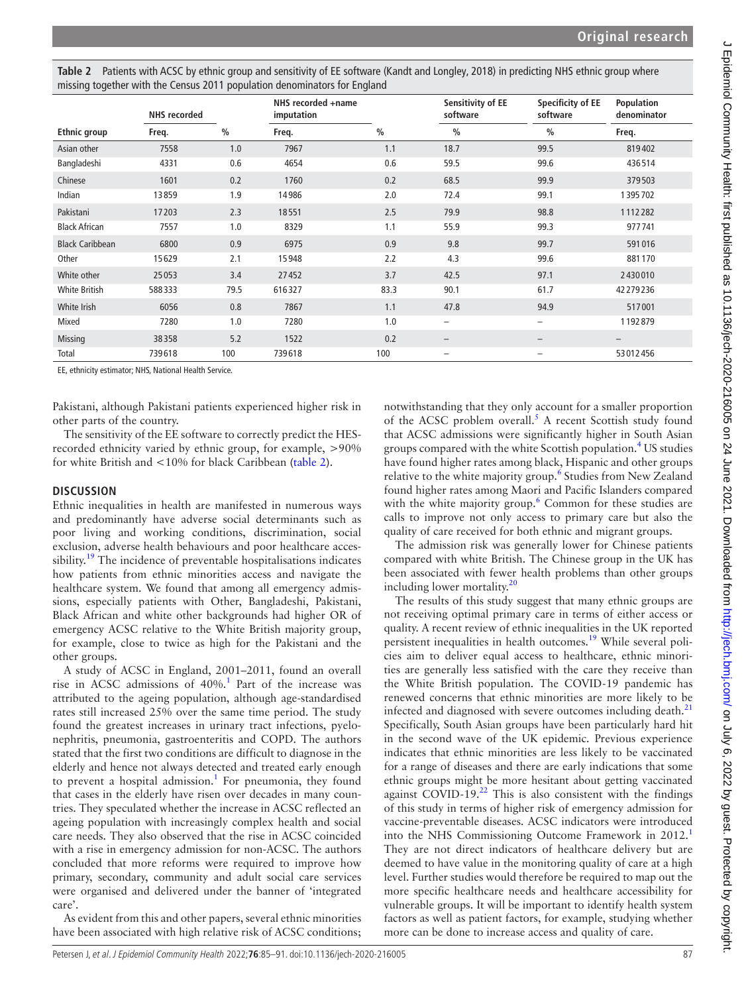| Thissing together with the Census ZOTT population denominators for England |                     |      |                                  |               |                               |                               |                           |
|----------------------------------------------------------------------------|---------------------|------|----------------------------------|---------------|-------------------------------|-------------------------------|---------------------------|
|                                                                            | <b>NHS</b> recorded |      | NHS recorded +name<br>imputation |               | Sensitivity of EE<br>software | Specificity of EE<br>software | Population<br>denominator |
| <b>Ethnic group</b>                                                        | Freq.               | $\%$ | Freq.                            | $\frac{0}{0}$ | $\frac{0}{0}$                 | $\frac{0}{0}$                 | Freq.                     |
| Asian other                                                                | 7558                | 1.0  | 7967                             | 1.1           | 18.7                          | 99.5                          | 819402                    |
| Bangladeshi                                                                | 4331                | 0.6  | 4654                             | 0.6           | 59.5                          | 99.6                          | 436514                    |
| Chinese                                                                    | 1601                | 0.2  | 1760                             | 0.2           | 68.5                          | 99.9                          | 379503                    |
| Indian                                                                     | 13859               | 1.9  | 14986                            | 2.0           | 72.4                          | 99.1                          | 1395702                   |
| Pakistani                                                                  | 17203               | 2.3  | 18551                            | 2.5           | 79.9                          | 98.8                          | 1112282                   |
| <b>Black African</b>                                                       | 7557                | 1.0  | 8329                             | 1.1           | 55.9                          | 99.3                          | 977741                    |
| <b>Black Caribbean</b>                                                     | 6800                | 0.9  | 6975                             | 0.9           | 9.8                           | 99.7                          | 591016                    |
| Other                                                                      | 15629               | 2.1  | 15948                            | 2.2           | 4.3                           | 99.6                          | 881170                    |
| White other                                                                | 25053               | 3.4  | 27452                            | 3.7           | 42.5                          | 97.1                          | 2430010                   |
| <b>White British</b>                                                       | 588333              | 79.5 | 616327                           | 83.3          | 90.1                          | 61.7                          | 42279236                  |
| White Irish                                                                | 6056                | 0.8  | 7867                             | 1.1           | 47.8                          | 94.9                          | 517001                    |
| Mixed                                                                      | 7280                | 1.0  | 7280                             | 1.0           | $\overline{\phantom{0}}$      | $\qquad \qquad -$             | 1192879                   |
| Missing                                                                    | 38358               | 5.2  | 1522                             | 0.2           | $\qquad \qquad -$             | $\qquad \qquad -$             |                           |
| Total                                                                      | 739618              | 100  | 739618                           | 100           | $\overline{\phantom{0}}$      | $\overline{\phantom{0}}$      | 53012456                  |

<span id="page-2-0"></span>**Table 2** Patients with ACSC by ethnic group and sensitivity of EE software (Kandt and Longley, 2018) in predicting NHS ethnic group where missing together with the Census 2011 population denominators for England

EE, ethnicity estimator; NHS, National Health Service.

Pakistani, although Pakistani patients experienced higher risk in other parts of the country.

The sensitivity of the EE software to correctly predict the HESrecorded ethnicity varied by ethnic group, for example, >90% for white British and <10% for black Caribbean [\(table](#page-2-0) 2).

### **DISCUSSION**

Ethnic inequalities in health are manifested in numerous ways and predominantly have adverse social determinants such as poor living and working conditions, discrimination, social exclusion, adverse health behaviours and poor healthcare accessibility.<sup>19</sup> The incidence of preventable hospitalisations indicates how patients from ethnic minorities access and navigate the healthcare system. We found that among all emergency admissions, especially patients with Other, Bangladeshi, Pakistani, Black African and white other backgrounds had higher OR of emergency ACSC relative to the White British majority group, for example, close to twice as high for the Pakistani and the other groups.

A study of ACSC in England, 2001–2011, found an overall rise in ACSC admissions of 40%.<sup>[1](#page-6-0)</sup> Part of the increase was attributed to the ageing population, although age-standardised rates still increased 25% over the same time period. The study found the greatest increases in urinary tract infections, pyelonephritis, pneumonia, gastroenteritis and COPD. The authors stated that the first two conditions are difficult to diagnose in the elderly and hence not always detected and treated early enough to prevent a hospital admission.<sup>[1](#page-6-0)</sup> For pneumonia, they found that cases in the elderly have risen over decades in many countries. They speculated whether the increase in ACSC reflected an ageing population with increasingly complex health and social care needs. They also observed that the rise in ACSC coincided with a rise in emergency admission for non-ACSC. The authors concluded that more reforms were required to improve how primary, secondary, community and adult social care services were organised and delivered under the banner of 'integrated care'.

As evident from this and other papers, several ethnic minorities have been associated with high relative risk of ACSC conditions;

notwithstanding that they only account for a smaller proportion of the ACSC problem overall.<sup>5</sup> A recent Scottish study found that ACSC admissions were significantly higher in South Asian groups compared with the white Scottish population.<sup>[4](#page-6-2)</sup> US studies have found higher rates among black, Hispanic and other groups relative to the white majority group.<sup>[6](#page-6-13)</sup> Studies from New Zealand found higher rates among Maori and Pacific Islanders compared with the white majority group.<sup>[6](#page-6-13)</sup> Common for these studies are calls to improve not only access to primary care but also the quality of care received for both ethnic and migrant groups.

The admission risk was generally lower for Chinese patients compared with white British. The Chinese group in the UK has been associated with fewer health problems than other groups including lower mortality.<sup>20</sup>

The results of this study suggest that many ethnic groups are not receiving optimal primary care in terms of either access or quality. A recent review of ethnic inequalities in the UK reported persistent inequalities in health outcomes.[19](#page-6-11) While several policies aim to deliver equal access to healthcare, ethnic minorities are generally less satisfied with the care they receive than the White British population. The COVID-19 pandemic has renewed concerns that ethnic minorities are more likely to be infected and diagnosed with severe outcomes including death.<sup>[21](#page-6-15)</sup> Specifically, South Asian groups have been particularly hard hit in the second wave of the UK epidemic. Previous experience indicates that ethnic minorities are less likely to be vaccinated for a range of diseases and there are early indications that some ethnic groups might be more hesitant about getting vaccinated against COVID-19.<sup>22</sup> This is also consistent with the findings of this study in terms of higher risk of emergency admission for vaccine-preventable diseases. ACSC indicators were introduced into the NHS Commissioning Outcome Framework in 20[1](#page-6-0)2.<sup>1</sup> They are not direct indicators of healthcare delivery but are deemed to have value in the monitoring quality of care at a high level. Further studies would therefore be required to map out the more specific healthcare needs and healthcare accessibility for vulnerable groups. It will be important to identify health system factors as well as patient factors, for example, studying whether more can be done to increase access and quality of care.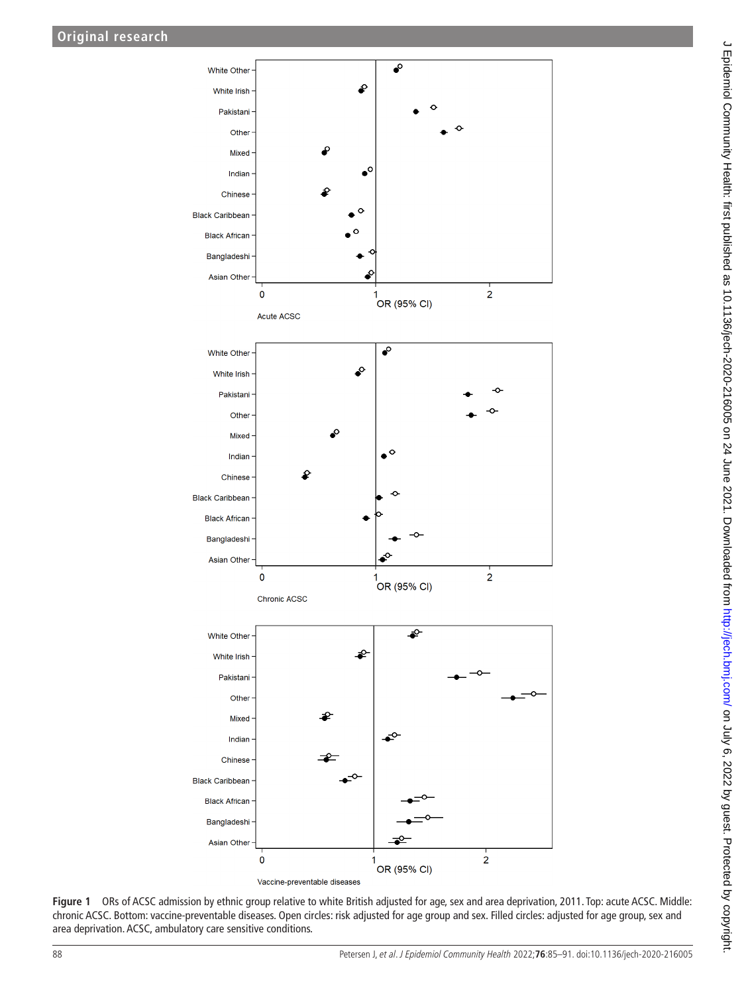

<span id="page-3-0"></span>**Figure 1** ORs of ACSC admission by ethnic group relative to white British adjusted for age, sex and area deprivation, 2011. Top: acute ACSC. Middle: chronic ACSC. Bottom: vaccine-preventable diseases. Open circles: risk adjusted for age group and sex. Filled circles: adjusted for age group, sex and area deprivation. ACSC, ambulatory care sensitive conditions.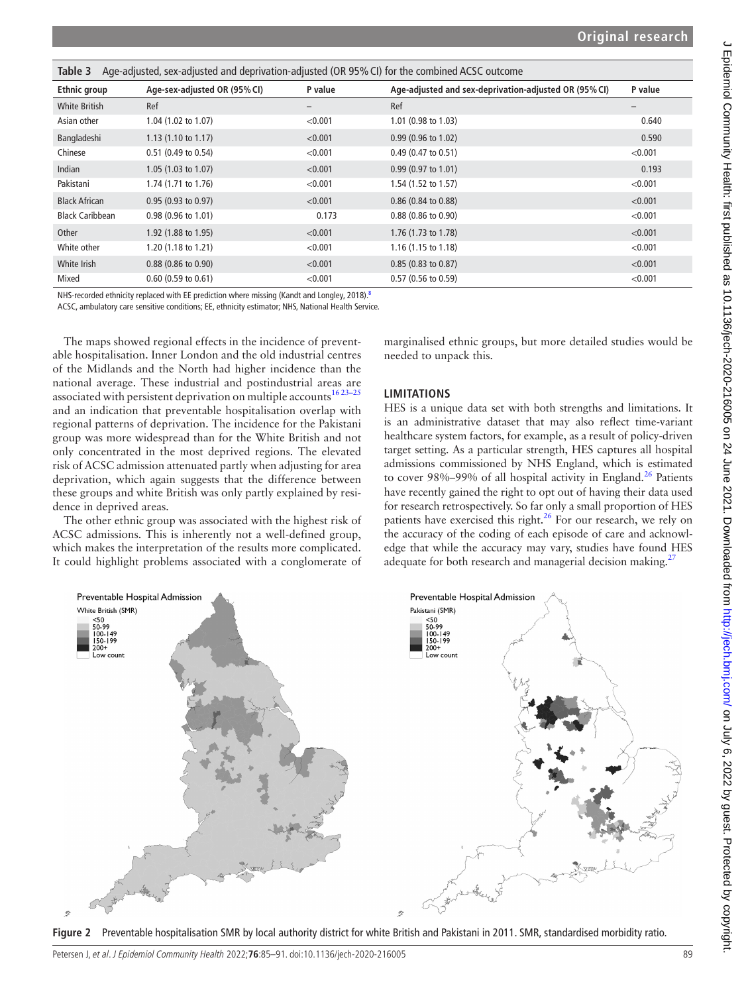<span id="page-4-0"></span>

| Age-adjusted, sex-adjusted and deprivation-adjusted (OR 95% CI) for the combined ACSC outcome<br>Table 3 |                               |         |                                                       |                   |  |  |  |  |
|----------------------------------------------------------------------------------------------------------|-------------------------------|---------|-------------------------------------------------------|-------------------|--|--|--|--|
| <b>Ethnic group</b>                                                                                      | Age-sex-adjusted OR (95% CI)  | P value | Age-adjusted and sex-deprivation-adjusted OR (95% CI) | P value           |  |  |  |  |
| <b>White British</b>                                                                                     | Ref                           | —       | Ref                                                   | $\qquad \qquad -$ |  |  |  |  |
| Asian other                                                                                              | 1.04 (1.02 to 1.07)           | < 0.001 | 1.01 (0.98 to 1.03)                                   | 0.640             |  |  |  |  |
| Bangladeshi                                                                                              | $1.13(1.10 \text{ to } 1.17)$ | < 0.001 | $0.99$ (0.96 to 1.02)                                 | 0.590             |  |  |  |  |
| Chinese                                                                                                  | $0.51$ (0.49 to 0.54)         | < 0.001 | $0.49$ (0.47 to 0.51)                                 | < 0.001           |  |  |  |  |
| Indian                                                                                                   | 1.05(1.03 to 1.07)            | < 0.001 | $0.99(0.97 \text{ to } 1.01)$                         | 0.193             |  |  |  |  |
| Pakistani                                                                                                | 1.74 (1.71 to 1.76)           | < 0.001 | 1.54 $(1.52 \text{ to } 1.57)$                        | < 0.001           |  |  |  |  |
| <b>Black African</b>                                                                                     | 0.95(0.93 to 0.97)            | < 0.001 | $0.86$ (0.84 to 0.88)                                 | < 0.001           |  |  |  |  |
| <b>Black Caribbean</b>                                                                                   | $0.98(0.96 \text{ to } 1.01)$ | 0.173   | $0.88$ (0.86 to 0.90)                                 | < 0.001           |  |  |  |  |
| Other                                                                                                    | 1.92 (1.88 to 1.95)           | < 0.001 | 1.76 (1.73 to 1.78)                                   | < 0.001           |  |  |  |  |
| White other                                                                                              | 1.20 (1.18 to 1.21)           | < 0.001 | $1.16(1.15 \text{ to } 1.18)$                         | < 0.001           |  |  |  |  |
| White Irish                                                                                              | $0.88$ (0.86 to 0.90)         | < 0.001 | $0.85(0.83 \text{ to } 0.87)$                         | < 0.001           |  |  |  |  |
| Mixed                                                                                                    | $0.60(0.59 \text{ to } 0.61)$ | < 0.001 | $0.57(0.56 \text{ to } 0.59)$                         | < 0.001           |  |  |  |  |

NHS-recorded ethnicity replaced with EE prediction where missing (Kandt and Longley, 2018).<sup>8</sup>

ACSC, ambulatory care sensitive conditions; EE, ethnicity estimator; NHS, National Health Service.

The maps showed regional effects in the incidence of preventable hospitalisation. Inner London and the old industrial centres of the Midlands and the North had higher incidence than the national average. These industrial and postindustrial areas are associated with persistent deprivation on multiple accounts<sup>16 23-25</sup> and an indication that preventable hospitalisation overlap with regional patterns of deprivation. The incidence for the Pakistani group was more widespread than for the White British and not only concentrated in the most deprived regions. The elevated risk of ACSC admission attenuated partly when adjusting for area deprivation, which again suggests that the difference between these groups and white British was only partly explained by residence in deprived areas.

The other ethnic group was associated with the highest risk of ACSC admissions. This is inherently not a well-defined group, which makes the interpretation of the results more complicated. It could highlight problems associated with a conglomerate of marginalised ethnic groups, but more detailed studies would be needed to unpack this.

### **LIMITATIONS**

HES is a unique data set with both strengths and limitations. It is an administrative dataset that may also reflect time-variant healthcare system factors, for example, as a result of policy-driven target setting. As a particular strength, HES captures all hospital admissions commissioned by NHS England, which is estimated to cover 98%–99% of all hospital activity in England.<sup>26</sup> Patients have recently gained the right to opt out of having their data used for research retrospectively. So far only a small proportion of HES patients have exercised this right. $^{26}$  For our research, we rely on the accuracy of the coding of each episode of care and acknowledge that while the accuracy may vary, studies have found HES adequate for both research and managerial decision making.<sup>2</sup>



<span id="page-4-1"></span>**Figure 2** Preventable hospitalisation SMR by local authority district for white British and Pakistani in 2011. SMR, standardised morbidity ratio.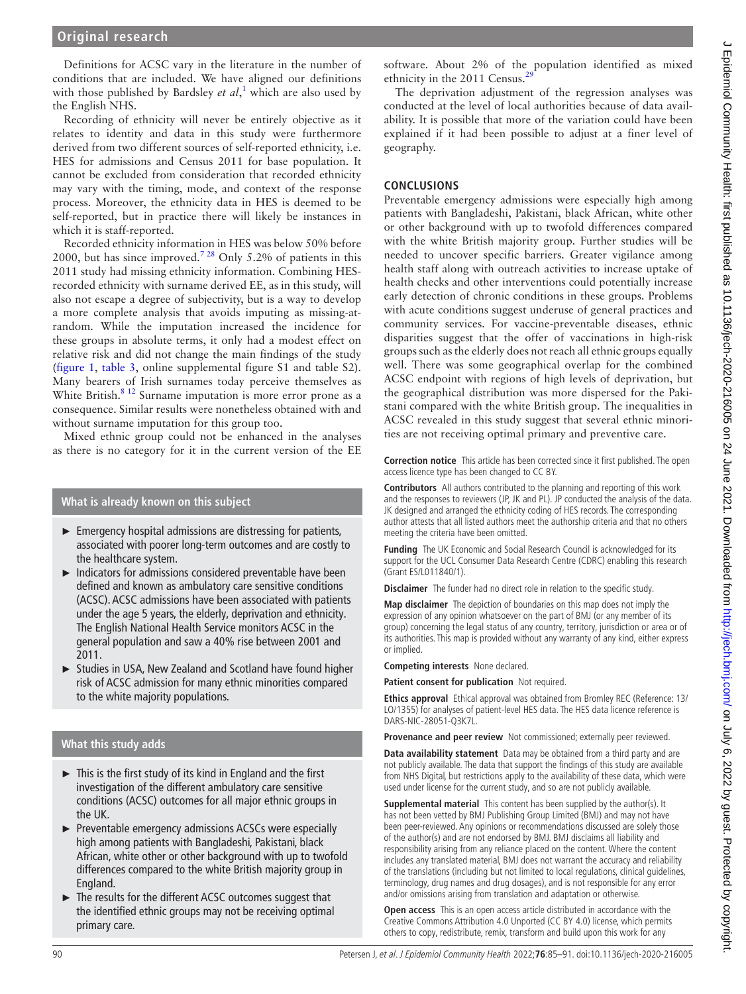Definitions for ACSC vary in the literature in the number of conditions that are included. We have aligned our definitions with those published by Bardsley *et al*,<sup>[1](#page-6-0)</sup> which are also used by the English NHS.

Recording of ethnicity will never be entirely objective as it relates to identity and data in this study were furthermore derived from two different sources of self-reported ethnicity, i.e. HES for admissions and Census 2011 for base population. It cannot be excluded from consideration that recorded ethnicity may vary with the timing, mode, and context of the response process. Moreover, the ethnicity data in HES is deemed to be self-reported, but in practice there will likely be instances in which it is staff-reported.

Recorded ethnicity information in HES was below 50% before 2000, but has since improved.<sup>728</sup> Only 5.2% of patients in this 2011 study had missing ethnicity information. Combining HESrecorded ethnicity with surname derived EE, as in this study, will also not escape a degree of subjectivity, but is a way to develop a more complete analysis that avoids imputing as missing-atrandom. While the imputation increased the incidence for these groups in absolute terms, it only had a modest effect on relative risk and did not change the main findings of the study ([figure](#page-3-0) 1, [table](#page-4-0) 3, [online supplemental figure S1 and table S2](https://dx.doi.org/10.1136/jech-2020-216005)). Many bearers of Irish surnames today perceive themselves as White British.<sup>8 12</sup> Surname imputation is more error prone as a consequence. Similar results were nonetheless obtained with and without surname imputation for this group too.

Mixed ethnic group could not be enhanced in the analyses as there is no category for it in the current version of the EE

### **What is already known on this subject**

- $\blacktriangleright$  Emergency hospital admissions are distressing for patients, associated with poorer long-term outcomes and are costly to the healthcare system.
- ► Indicators for admissions considered preventable have been defined and known as ambulatory care sensitive conditions (ACSC). ACSC admissions have been associated with patients under the age 5 years, the elderly, deprivation and ethnicity. The English National Health Service monitors ACSC in the general population and saw a 40% rise between 2001 and 2011.
- ► Studies in USA, New Zealand and Scotland have found higher risk of ACSC admission for many ethnic minorities compared to the white majority populations.

### **What this study adds**

- ► This is the first study of its kind in England and the first investigation of the different ambulatory care sensitive conditions (ACSC) outcomes for all major ethnic groups in the UK.
- ► Preventable emergency admissions ACSCs were especially high among patients with Bangladeshi, Pakistani, black African, white other or other background with up to twofold differences compared to the white British majority group in England.
- The results for the different ACSC outcomes suggest that the identified ethnic groups may not be receiving optimal primary care.

software. About 2% of the population identified as mixed ethnicity in the 2011 Census.<sup>[29](#page-6-19)</sup>

The deprivation adjustment of the regression analyses was conducted at the level of local authorities because of data availability. It is possible that more of the variation could have been explained if it had been possible to adjust at a finer level of geography.

### **CONCLUSIONS**

Preventable emergency admissions were especially high among patients with Bangladeshi, Pakistani, black African, white other or other background with up to twofold differences compared with the white British majority group. Further studies will be needed to uncover specific barriers. Greater vigilance among health staff along with outreach activities to increase uptake of health checks and other interventions could potentially increase early detection of chronic conditions in these groups. Problems with acute conditions suggest underuse of general practices and community services. For vaccine-preventable diseases, ethnic disparities suggest that the offer of vaccinations in high-risk groups such as the elderly does not reach all ethnic groups equally well. There was some geographical overlap for the combined ACSC endpoint with regions of high levels of deprivation, but the geographical distribution was more dispersed for the Pakistani compared with the white British group. The inequalities in ACSC revealed in this study suggest that several ethnic minorities are not receiving optimal primary and preventive care.

**Correction notice** This article has been corrected since it first published. The open access licence type has been changed to CC BY.

**Contributors** All authors contributed to the planning and reporting of this work and the responses to reviewers (JP, JK and PL). JP conducted the analysis of the data. JK designed and arranged the ethnicity coding of HES records. The corresponding author attests that all listed authors meet the authorship criteria and that no others meeting the criteria have been omitted.

**Funding** The UK Economic and Social Research Council is acknowledged for its support for the UCL Consumer Data Research Centre (CDRC) enabling this research (Grant ES/L011840/1).

**Disclaimer** The funder had no direct role in relation to the specific study.

**Map disclaimer** The depiction of boundaries on this map does not imply the expression of any opinion whatsoever on the part of BMJ (or any member of its group) concerning the legal status of any country, territory, jurisdiction or area or of its authorities. This map is provided without any warranty of any kind, either express or implied.

**Competing interests** None declared.

**Patient consent for publication** Not required.

**Ethics approval** Ethical approval was obtained from Bromley REC (Reference: 13/ LO/1355) for analyses of patient-level HES data. The HES data licence reference is DARS-NIC-28051-Q3K7L.

**Provenance and peer review** Not commissioned; externally peer reviewed.

**Data availability statement** Data may be obtained from a third party and are not publicly available. The data that support the findings of this study are available from NHS Digital, but restrictions apply to the availability of these data, which were used under license for the current study, and so are not publicly available.

**Supplemental material** This content has been supplied by the author(s). It has not been vetted by BMJ Publishing Group Limited (BMJ) and may not have been peer-reviewed. Any opinions or recommendations discussed are solely those of the author(s) and are not endorsed by BMJ. BMJ disclaims all liability and responsibility arising from any reliance placed on the content. Where the content includes any translated material, BMJ does not warrant the accuracy and reliability of the translations (including but not limited to local regulations, clinical guidelines, terminology, drug names and drug dosages), and is not responsible for any error and/or omissions arising from translation and adaptation or otherwise.

**Open access** This is an open access article distributed in accordance with the Creative Commons Attribution 4.0 Unported (CC BY 4.0) license, which permits others to copy, redistribute, remix, transform and build upon this work for any